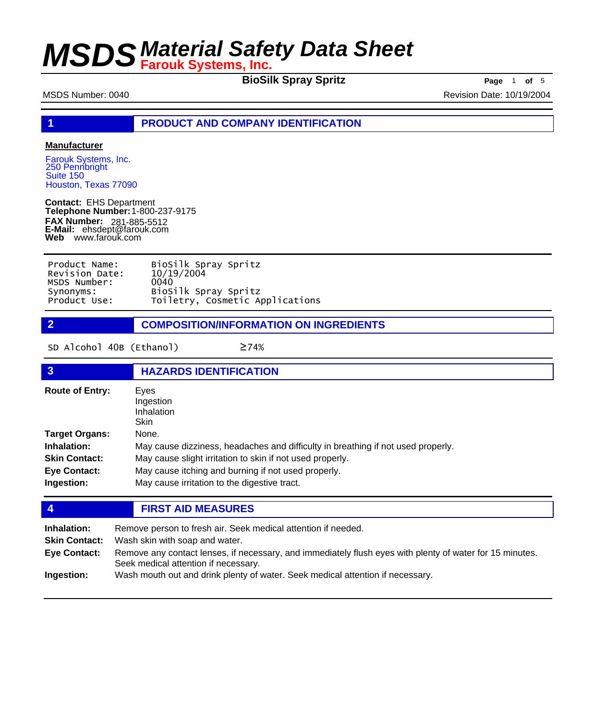**BioSilk Spray Spritz Page** 1 **of** 5

MSDS Number: 0040 Revision Date: 10/19/2004

**1 PRODUCT AND COMPANY IDENTIFICATION**

### **Manufacturer**

Farouk Systems, Inc. 250 Pennbright Suite 150 Houston, Texas 77090

**Contact:** EHS Department **Telephone Number:** 1-800-237-9175 **FAX Number: FAX Number:** 281-885-5512<br>**E-Mail:** ehsdept@farouk.com **Web** www.farouk.com

| Product Name:  | BioSilk Spray Spritz            |
|----------------|---------------------------------|
| Revision Date: | 10/19/2004                      |
| MSDS Number:   | 0040                            |
| Synonyms:      | BioSilk Spray Spritz            |
| Product Use:   | Toiletry, Cosmetic Applications |

**2 COMPOSITION/INFORMATION ON INGREDIENTS**

SD Alcohol 40B (Ethanol) ≥74%

| $\overline{3}$         | <b>HAZARDS IDENTIFICATION</b>                                                    |  |  |
|------------------------|----------------------------------------------------------------------------------|--|--|
| <b>Route of Entry:</b> | Eyes<br>Ingestion<br>Inhalation<br>Skin                                          |  |  |
| <b>Target Organs:</b>  | None.                                                                            |  |  |
| Inhalation:            | May cause dizziness, headaches and difficulty in breathing if not used properly. |  |  |
| <b>Skin Contact:</b>   | May cause slight irritation to skin if not used properly.                        |  |  |
| <b>Eye Contact:</b>    | May cause itching and burning if not used properly.                              |  |  |
| Ingestion:             | May cause irritation to the digestive tract.                                     |  |  |

## **4 FIRST AID MEASURES**

| Inhalation:          | Remove person to fresh air. Seek medical attention if needed.                                                                                    |
|----------------------|--------------------------------------------------------------------------------------------------------------------------------------------------|
| <b>Skin Contact:</b> | Wash skin with soap and water.                                                                                                                   |
| <b>Eye Contact:</b>  | Remove any contact lenses, if necessary, and immediately flush eyes with plenty of water for 15 minutes.<br>Seek medical attention if necessary. |
| Ingestion:           | Wash mouth out and drink plenty of water. Seek medical attention if necessary.                                                                   |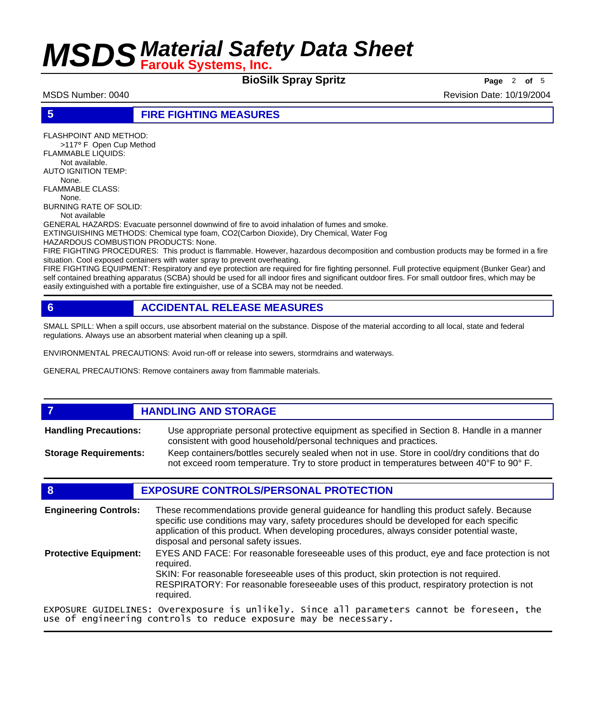**BioSilk Spray Spritz Page** <sup>2</sup> **of** <sup>5</sup>

MSDS Number: 0040 Revision Date: 10/19/2004

## **5 FIRE FIGHTING MEASURES**

FLASHPOINT AND METHOD:

 >117° F Open Cup Method FLAMMABLE LIQUIDS:

Not available.

AUTO IGNITION TEMP: None.

FLAMMABLE CLASS: None.

BURNING RATE OF SOLID:

Not available

GENERAL HAZARDS: Evacuate personnel downwind of fire to avoid inhalation of fumes and smoke.

EXTINGUISHING METHODS: Chemical type foam, CO2(Carbon Dioxide), Dry Chemical, Water Fog

HAZARDOUS COMBUSTION PRODUCTS: None.

FIRE FIGHTING PROCEDURES: This product is flammable. However, hazardous decomposition and combustion products may be formed in a fire situation. Cool exposed containers with water spray to prevent overheating.

FIRE FIGHTING EQUIPMENT: Respiratory and eye protection are required for fire fighting personnel. Full protective equipment (Bunker Gear) and self contained breathing apparatus (SCBA) should be used for all indoor fires and significant outdoor fires. For small outdoor fires, which may be easily extinguished with a portable fire extinguisher, use of a SCBA may not be needed.

## **6 ACCIDENTAL RELEASE MEASURES**

SMALL SPILL: When a spill occurs, use absorbent material on the substance. Dispose of the material according to all local, state and federal regulations. Always use an absorbent material when cleaning up a spill.

ENVIRONMENTAL PRECAUTIONS: Avoid run-off or release into sewers, stormdrains and waterways.

GENERAL PRECAUTIONS: Remove containers away from flammable materials.

### **7 HANDLING AND STORAGE** Use appropriate personal protective equipment as specified in Section 8. Handle in a manner consistent with good household/personal techniques and practices. **Handling Precautions:** Keep containers/bottles securely sealed when not in use. Store in cool/dry conditions that do not exceed room temperature. Try to store product in temperatures between 40°F to 90° F. **Storage Requirements:**

## **8 EXPOSURE CONTROLS/PERSONAL PROTECTION**

These recommendations provide general guideance for handling this product safely. Because specific use conditions may vary, safety procedures should be developed for each specific application of this product. When developing procedures, always consider potential waste, disposal and personal safety issues. **Engineering Controls:** EYES AND FACE: For reasonable foreseeable uses of this product, eye and face protection is not required. SKIN: For reasonable foreseeable uses of this product, skin protection is not required. RESPIRATORY: For reasonable foreseeable uses of this product, respiratory protection is not required. **Protective Equipment:** EXPOSURE GUIDELINES: Overexposure is unlikely. Since all parameters cannot be foreseen, the use of engineering controls to reduce exposure may be necessary.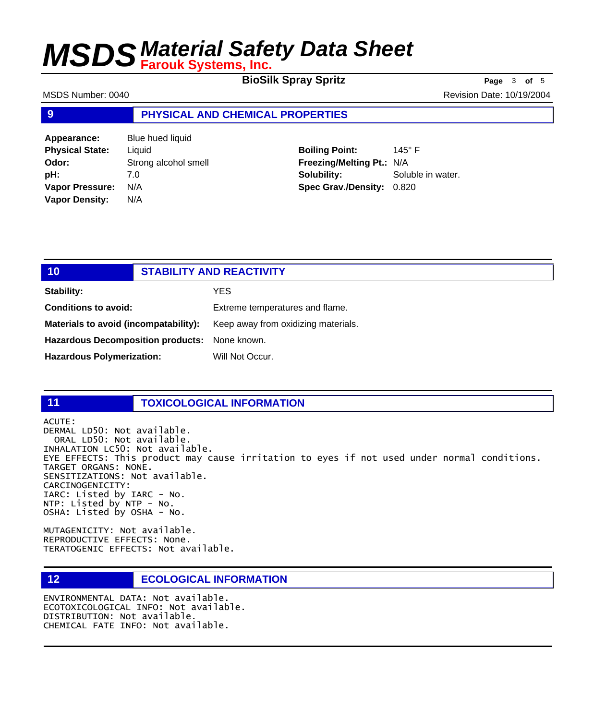**BioSilk Spray Spritz Page** 3 of 5

MSDS Number: 0040 **Revision Date: 10/19/2004** Revision Date: 10/19/2004

### **9 PHYSICAL AND CHEMICAL PROPERTIES**

**Appearance:** Blue hued liquid **Physical State:** Liquid **Odor:** Strong alcohol smell **pH:** 7.0 **Vapor Pressure:** N/A **Vapor Density:** N/A

**Boiling Point:** 145° F **Freezing/Melting Pt.:** N/A **Solubility:** Soluble in water. **Spec Grav./Density:** 0.820

| 10                                            | <b>STABILITY AND REACTIVITY</b> |                                     |
|-----------------------------------------------|---------------------------------|-------------------------------------|
| Stability:                                    |                                 | YES.                                |
| <b>Conditions to avoid:</b>                   |                                 | Extreme temperatures and flame.     |
| Materials to avoid (incompatability):         |                                 | Keep away from oxidizing materials. |
| Hazardous Decomposition products: None known. |                                 |                                     |
| <b>Hazardous Polymerization:</b>              |                                 | Will Not Occur.                     |

## **11 TOXICOLOGICAL INFORMATION**

ACUTE: DERMAL LD50: Not available. ORAL LD50: Not available. INHALATION LC50: Not available. EYE EFFECTS: This product may cause irritation to eyes if not used under normal conditions. TARGET ORGANS: NONE. SENSITIZATIONS: Not available. CARCINOGENICITY: IARC: Listed by IARC - No. NTP: Listed by NTP - No. OSHA: Listed by OSHA - No.

MUTAGENICITY: Not available. REPRODUCTIVE EFFECTS: None. TERATOGENIC EFFECTS: Not available.

### **12 ECOLOGICAL INFORMATION**

ENVIRONMENTAL DATA: Not available. ECOTOXICOLOGICAL INFO: Not available. DISTRIBUTION: Not available. CHEMICAL FATE INFO: Not available.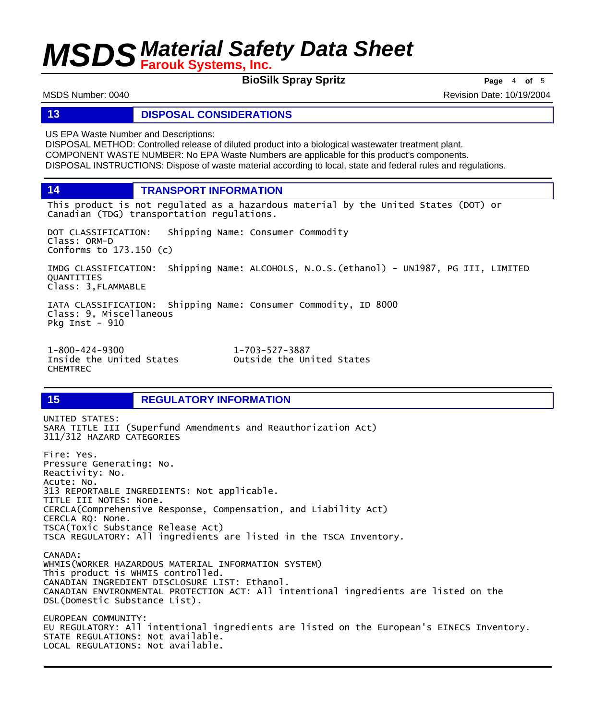**BioSilk Spray Spritz Page** <sup>4</sup> **of** <sup>5</sup>

MSDS Number: 0040 Revision Date: 10/19/2004

### **13 DISPOSAL CONSIDERATIONS**

US EPA Waste Number and Descriptions:

DISPOSAL METHOD: Controlled release of diluted product into a biological wastewater treatment plant. COMPONENT WASTE NUMBER: No EPA Waste Numbers are applicable for this product's components. DISPOSAL INSTRUCTIONS: Dispose of waste material according to local, state and federal rules and regulations.

**14 TRANSPORT INFORMATION**

This product is not regulated as a hazardous material by the United States (DOT) or Canadian (TDG) transportation regulations.

DOT CLASSIFICATION: Shipping Name: Consumer Commodity Class: ORM-D Conforms to 173.150 (c)

IMDG CLASSIFICATION: Shipping Name: ALCOHOLS, N.O.S.(ethanol) - UN1987, PG III, LIMITED QUANTITIES Class: 3,FLAMMABLE

IATA CLASSIFICATION: Shipping Name: Consumer Commodity, ID 8000 Class: 9, Miscellaneous Pkg Inst -  $910$ 

1-800-424-9300 1-703-527-3887 CHEMTREC

Outside the United States

## **15 REGULATORY INFORMATION**

UNITED STATES: SARA TITLE III (Superfund Amendments and Reauthorization Act) 311/312 HAZARD CATEGORIES Fire: Yes. Pressure Generating: No. Reactivity: No. Acute: No. 313 REPORTABLE INGREDIENTS: Not applicable. TITLE III NOTES: None. CERCLA(Comprehensive Response, Compensation, and Liability Act) CERCLA RQ: None. TSCA(Toxic Substance Release Act) TSCA REGULATORY: All ingredients are listed in the TSCA Inventory. CANADA: WHMIS(WORKER HAZARDOUS MATERIAL INFORMATION SYSTEM) This product is WHMIS controlled. CANADIAN INGREDIENT DISCLOSURE LIST: Ethanol. CANADIAN ENVIRONMENTAL PROTECTION ACT: All intentional ingredients are listed on the DSL(Domestic Substance List). EUROPEAN COMMUNITY: EU REGULATORY: All intentional ingredients are listed on the European's EINECS Inventory. STATE REGULATIONS: Not available. LOCAL REGULATIONS: Not available.